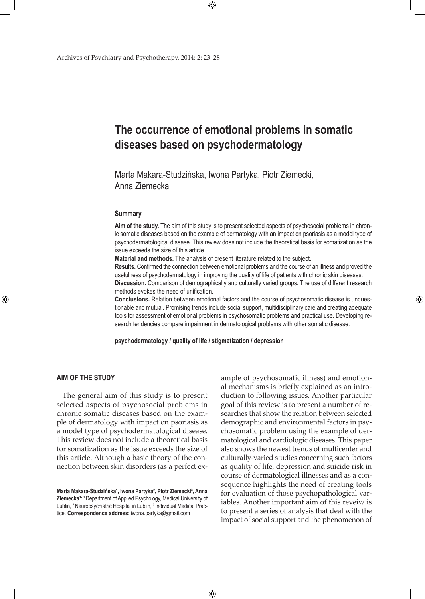# **The occurrence of emotional problems in somatic diseases based on psychodermatology**

Marta Makara-Studzińska, Iwona Partyka, Piotr Ziemecki, Anna Ziemecka

 $\bigoplus$ 

## **Summary**

**Aim of the study.** The aim of this study is to present selected aspects of psychosocial problems in chronic somatic diseases based on the example of dermatology with an impact on psoriasis as a model type of psychodermatological disease. This review does not include the theoretical basis for somatization as the issue exceeds the size of this article.

**Material and methods.** The analysis of present literature related to the subject.

**Results.** Confirmed the connection between emotional problems and the course of an illness and proved the usefulness of psychodermatology in improving the quality of life of patients with chronic skin diseases. **Discussion.** Comparison of demographically and culturally varied groups. The use of different research

methods evokes the need of unification.

**Conclusions.** Relation between emotional factors and the course of psychosomatic disease is unquestionable and mutual. Promising trends include social support, multidisciplinary care and creating adequate tools for assessment of emotional problems in psychosomatic problems and practical use. Developing research tendencies compare impairment in dermatological problems with other somatic disease.

**psychodermatology / quality of life / stigmatization / depression**

 $\bigoplus$ 

## **Aim of the study**

⊕

The general aim of this study is to present selected aspects of psychosocial problems in chronic somatic diseases based on the example of dermatology with impact on psoriasis as a model type of psychodermatological disease. This review does not include a theoretical basis for somatization as the issue exceeds the size of this article. Although a basic theory of the connection between skin disorders (as a perfect example of psychosomatic illness) and emotional mechanisms is briefly explained as an introduction to following issues. Another particular goal of this review is to present a number of researches that show the relation between selected demographic and environmental factors in psychosomatic problem using the example of dermatological and cardiologic diseases. This paper also shows the newest trends of multicenter and culturally-varied studies concerning such factors as quality of life, depression and suicide risk in course of dermatological illnesses and as a consequence highlights the need of creating tools for evaluation of those psychopathological variables. Another important aim of this reveiw is to present a series of analysis that deal with the impact of social support and the phenomenon of

**Marta Makara-Studzińska<sup>1</sup> , Iwona Partyka2 , Piotr Ziemecki3 , Anna Ziemecka3** : <sup>1</sup>Department of Applied Psychology, Medical University of Lublin, <sup>2</sup> Neuropsychiatric Hospital in Lublin, <sup>3</sup> Individual Medical Practice. **Correspondence address**: iwona.partyka@gmail.com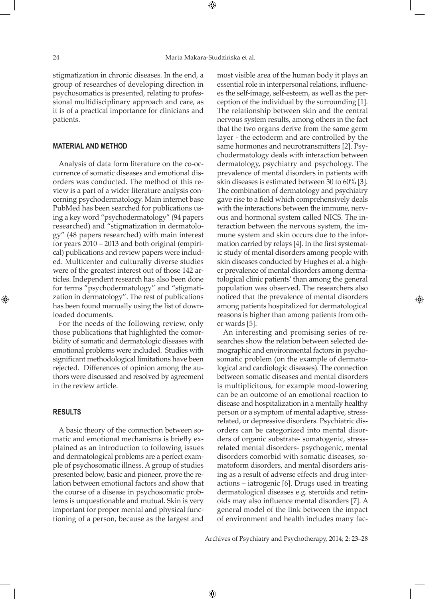stigmatization in chronic diseases. In the end, a group of researches of developing direction in psychosomatics is presented, relating to professional multidisciplinary approach and care, as it is of a practical importance for clinicians and patients.

## **Material and method**

Analysis of data form literature on the co-occurrence of somatic diseases and emotional disorders was conducted. The method of this review is a part of a wider literature analysis concerning psychodermatology. Main internet base PubMed has been searched for publications using a key word "psychodermatology" (94 papers researched) and "stigmatization in dermatology" (48 papers researched) with main interest for years 2010 – 2013 and both original (empirical) publications and review papers were included. Multicenter and culturally diverse studies were of the greatest interest out of those 142 articles. Independent research has also been done for terms "psychodermatology" and "stigmatization in dermatology". The rest of publications has been found manually using the list of downloaded documents.

For the needs of the following review, only those publications that highlighted the comorbidity of somatic and dermatologic diseases with emotional problems were included. Studies with significant methodological limitations have been rejected. Differences of opinion among the authors were discussed and resolved by agreement in the review article.

# **Results**

⊕

A basic theory of the connection between somatic and emotional mechanisms is briefly explained as an introduction to following issues and dermatological problems are a perfect example of psychosomatic illness. A group of studies presented below, basic and pioneer, prove the relation between emotional factors and show that the course of a disease in psychosomatic problems is unquestionable and mutual. Skin is very important for proper mental and physical functioning of a person, because as the largest and most visible area of the human body it plays an essential role in interpersonal relations, influences the self-image, self-esteem, as well as the perception of the individual by the surrounding [1]. The relationship between skin and the central nervous system results, among others in the fact that the two organs derive from the same germ layer - the ectoderm and are controlled by the same hormones and neurotransmitters [2]. Psychodermatology deals with interaction between dermatology, psychiatry and psychology. The prevalence of mental disorders in patients with skin diseases is estimated between 30 to 60% [3]. The combination of dermatology and psychiatry gave rise to a field which comprehensively deals with the interactions between the immune, nervous and hormonal system called NICS. The interaction between the nervous system, the immune system and skin occurs due to the information carried by relays [4]. In the first systematic study of mental disorders among people with skin diseases conducted by Hughes et al. a higher prevalence of mental disorders among dermatological clinic patients' than among the general population was observed. The researchers also noticed that the prevalence of mental disorders among patients hospitalized for dermatological reasons is higher than among patients from other wards [5].

An interesting and promising series of researches show the relation between selected demographic and environmental factors in psychosomatic problem (on the example of dermatological and cardiologic diseases). The connection between somatic diseases and mental disorders is multiplicitous, for example mood-lowering can be an outcome of an emotional reaction to disease and hospitalization in a mentally healthy person or a symptom of mental adaptive, stressrelated, or depressive disorders. Psychiatric disorders can be categorized into mental disorders of organic substrate- somatogenic, stressrelated mental disorders- psychogenic, mental disorders comorbid with somatic diseases, somatoform disorders, and mental disorders arising as a result of adverse effects and drug interactions – iatrogenic [6]. Drugs used in treating dermatological diseases e.g. steroids and retinoids may also influence mental disorders [7]. A general model of the link between the impact of environment and health includes many fac-

Archives of Psychiatry and Psychotherapy, 2014; 2: 23–28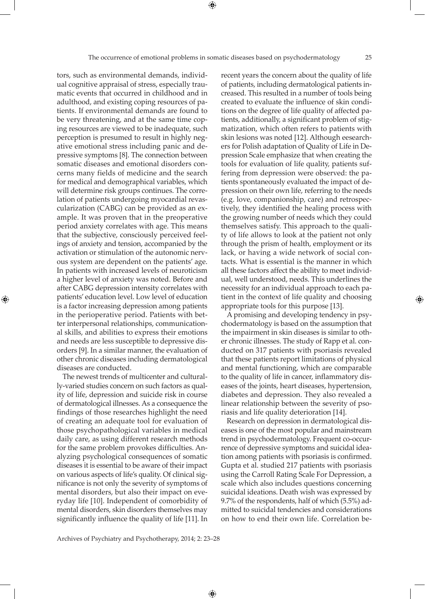tors, such as environmental demands, individual cognitive appraisal of stress, especially traumatic events that occurred in childhood and in adulthood, and existing coping resources of patients. If environmental demands are found to be very threatening, and at the same time coping resources are viewed to be inadequate, such perception is presumed to result in highly negative emotional stress including panic and depressive symptoms [8]. The connection between somatic diseases and emotional disorders concerns many fields of medicine and the search for medical and demographical variables, which will determine risk groups continues. The correlation of patients undergoing myocardial revascularization (CABG) can be provided as an example. It was proven that in the preoperative period anxiety correlates with age. This means that the subjective, consciously perceived feelings of anxiety and tension, accompanied by the activation or stimulation of the autonomic nervous system are dependent on the patients' age. In patients with increased levels of neuroticism a higher level of anxiety was noted. Before and after CABG depression intensity correlates with patients' education level. Low level of education is a factor increasing depression among patients in the perioperative period. Patients with better interpersonal relationships, communicational skills, and abilities to express their emotions and needs are less susceptible to depressive disorders [9]. In a similar manner, the evaluation of other chronic diseases including dermatological diseases are conducted.

⊕

The newest trends of multicenter and culturally-varied studies concern on such factors as quality of life, depression and suicide risk in course of dermatological illnesses. As a consequence the findings of those researches highlight the need of creating an adequate tool for evaluation of those psychopathological variables in medical daily care, as using different research methods for the same problem provokes difficulties. Analyzing psychological consequences of somatic diseases it is essential to be aware of their impact on various aspects of life's quality. Of clinical significance is not only the severity of symptoms of mental disorders, but also their impact on everyday life [10]. Independent of comorbidity of mental disorders, skin disorders themselves may significantly influence the quality of life [11]. In

recent years the concern about the quality of life of patients, including dermatological patients increased. This resulted in a number of tools being created to evaluate the influence of skin conditions on the degree of life quality of affected patients, additionally, a significant problem of stigmatization, which often refers to patients with skin lesions was noted [12]. Although eesearchers for Polish adaptation of Quality of Life in Depression Scale emphasize that when creating the tools for evaluation of life quality, patients suffering from depression were observed: the patients spontaneously evaluated the impact of depression on their own life, referring to the needs (e.g. love, companionship, care) and retrospectively, they identified the healing process with the growing number of needs which they could themselves satisfy. This approach to the quality of life allows to look at the patient not only through the prism of health, employment or its lack, or having a wide network of social contacts. What is essential is the manner in which all these factors affect the ability to meet individual, well understood, needs. This underlines the necessity for an individual approach to each patient in the context of life quality and choosing appropriate tools for this purpose [13].

A promising and developing tendency in psychodermatology is based on the assumption that the impairment in skin diseases is similar to other chronic illnesses. The study of Rapp et al. conducted on 317 patients with psoriasis revealed that these patients report limitations of physical and mental functioning, which are comparable to the quality of life in cancer, inflammatory diseases of the joints, heart diseases, hypertension, diabetes and depression. They also revealed a linear relationship between the severity of psoriasis and life quality deterioration [14].

Research on depression in dermatological diseases is one of the most popular and mainstream trend in psychodermatology. Frequent co-occurrence of depressive symptoms and suicidal ideation among patients with psoriasis is confirmed. Gupta et al. studied 217 patients with psoriasis using the Carroll Rating Scale For Depression, a scale which also includes questions concerning suicidal ideations. Death wish was expressed by 9.7% of the respondents, half of which (5.5%) admitted to suicidal tendencies and considerations on how to end their own life. Correlation be-

Archives of Psychiatry and Psychotherapy, 2014; 2: 23–28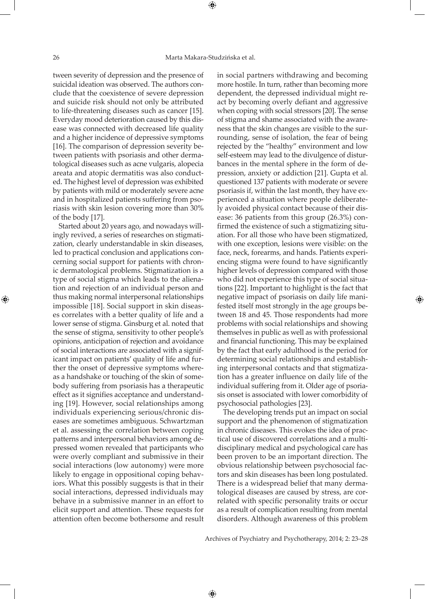tween severity of depression and the presence of suicidal ideation was observed. The authors conclude that the coexistence of severe depression and suicide risk should not only be attributed to life-threatening diseases such as cancer [15]. Everyday mood deterioration caused by this disease was connected with decreased life quality and a higher incidence of depressive symptoms [16]. The comparison of depression severity between patients with psoriasis and other dermatological diseases such as acne vulgaris, alopecia areata and atopic dermatitis was also conducted. The highest level of depression was exhibited by patients with mild or moderately severe acne and in hospitalized patients suffering from psoriasis with skin lesion covering more than 30% of the body [17].

Started about 20 years ago, and nowadays willingly revived, a series of researches on stigmatization, clearly understandable in skin diseases, led to practical conclusion and applications concerning social support for patients with chronic dermatological problems. Stigmatization is a type of social stigma which leads to the alienation and rejection of an individual person and thus making normal interpersonal relationships impossible [18]. Social support in skin diseases correlates with a better quality of life and a lower sense of stigma. Ginsburg et al. noted that the sense of stigma, sensitivity to other people's opinions, anticipation of rejection and avoidance of social interactions are associated with a significant impact on patients' quality of life and further the onset of depressive symptoms whereas a handshake or touching of the skin of somebody suffering from psoriasis has a therapeutic effect as it signifies acceptance and understanding [19]. However, social relationships among individuals experiencing serious/chronic diseases are sometimes ambiguous. Schwartzman et al. assessing the correlation between coping patterns and interpersonal behaviors among depressed women revealed that participants who were overly compliant and submissive in their social interactions (low autonomy) were more likely to engage in oppositional coping behaviors. What this possibly suggests is that in their social interactions, depressed individuals may behave in a submissive manner in an effort to elicit support and attention. These requests for attention often become bothersome and result

in social partners withdrawing and becoming more hostile. In turn, rather than becoming more dependent, the depressed individual might react by becoming overly defiant and aggressive when coping with social stressors [20]. The sense of stigma and shame associated with the awareness that the skin changes are visible to the surrounding, sense of isolation, the fear of being rejected by the "healthy" environment and low self-esteem may lead to the divulgence of disturbances in the mental sphere in the form of depression, anxiety or addiction [21]. Gupta et al. questioned 137 patients with moderate or severe psoriasis if, within the last month, they have experienced a situation where people deliberately avoided physical contact because of their disease: 36 patients from this group (26.3%) confirmed the existence of such a stigmatizing situation. For all those who have been stigmatized, with one exception, lesions were visible: on the face, neck, forearms, and hands. Patients experiencing stigma were found to have significantly higher levels of depression compared with those who did not experience this type of social situations [22]. Important to highlight is the fact that negative impact of psoriasis on daily life manifested itself most strongly in the age groups between 18 and 45. Those respondents had more problems with social relationships and showing themselves in public as well as with professional and financial functioning. This may be explained by the fact that early adulthood is the period for determining social relationships and establishing interpersonal contacts and that stigmatization has a greater influence on daily life of the individual suffering from it. Older age of psoriasis onset is associated with lower comorbidity of psychosocial pathologies [23].

The developing trends put an impact on social support and the phenomenon of stigmatization in chronic diseases. This evokes the idea of practical use of discovered correlations and a multidisciplinary medical and psychological care has been proven to be an important direction. The obvious relationship between psychosocial factors and skin diseases has been long postulated. There is a widespread belief that many dermatological diseases are caused by stress, are correlated with specific personality traits or occur as a result of complication resulting from mental disorders. Although awareness of this problem

Archives of Psychiatry and Psychotherapy, 2014; 2: 23–28

⊕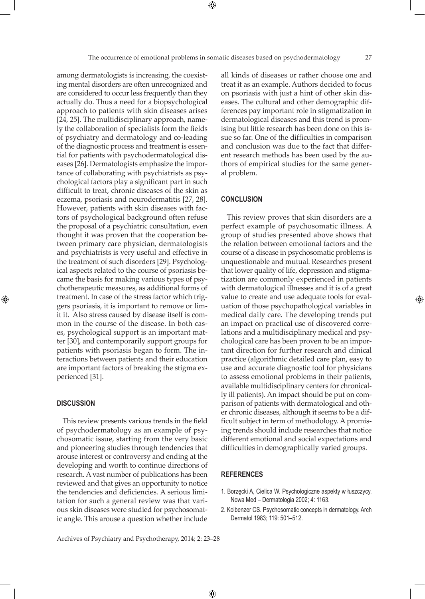among dermatologists is increasing, the coexisting mental disorders are often unrecognized and are considered to occur less frequently than they actually do. Thus a need for a biopsychological approach to patients with skin diseases arises [24, 25]. The multidisciplinary approach, namely the collaboration of specialists form the fields of psychiatry and dermatology and co-leading of the diagnostic process and treatment is essential for patients with psychodermatological diseases [26]. Dermatologists emphasize the importance of collaborating with psychiatrists as psychological factors play a significant part in such difficult to treat, chronic diseases of the skin as eczema, psoriasis and neurodermatitis [27, 28]. However, patients with skin diseases with factors of psychological background often refuse the proposal of a psychiatric consultation, even thought it was proven that the cooperation between primary care physician, dermatologists and psychiatrists is very useful and effective in the treatment of such disorders [29]. Psychological aspects related to the course of psoriasis became the basis for making various types of psychotherapeutic measures, as additional forms of treatment. In case of the stress factor which triggers psoriasis, it is important to remove or limit it. Also stress caused by disease itself is common in the course of the disease. In both cases, psychological support is an important matter [30], and contemporarily support groups for patients with psoriasis began to form. The interactions between patients and their education are important factors of breaking the stigma experienced [31].

## **Discussion**

⊕

This review presents various trends in the field of psychodermatology as an example of psychosomatic issue, starting from the very basic and pioneering studies through tendencies that arouse interest or controversy and ending at the developing and worth to continue directions of research. A vast number of publications has been reviewed and that gives an opportunity to notice the tendencies and deficiencies. A serious limitation for such a general review was that various skin diseases were studied for psychosomatic angle. This arouse a question whether include

Archives of Psychiatry and Psychotherapy, 2014; 2: 23–28

all kinds of diseases or rather choose one and treat it as an example. Authors decided to focus on psoriasis with just a hint of other skin diseases. The cultural and other demographic differences pay important role in stigmatization in dermatological diseases and this trend is promising but little research has been done on this issue so far. One of the difficulties in comparison and conclusion was due to the fact that different research methods has been used by the authors of empirical studies for the same general problem.

## **Conclusion**

This review proves that skin disorders are a perfect example of psychosomatic illness. A group of studies presented above shows that the relation between emotional factors and the course of a disease in psychosomatic problems is unquestionable and mutual. Researches present that lower quality of life, depression and stigmatization are commonly experienced in patients with dermatological illnesses and it is of a great value to create and use adequate tools for evaluation of those psychopathological variables in medical daily care. The developing trends put an impact on practical use of discovered correlations and a multidisciplinary medical and psychological care has been proven to be an important direction for further research and clinical practice (algorithmic detailed care plan, easy to use and accurate diagnostic tool for physicians to assess emotional problems in their patients, available multidisciplinary centers for chronically ill patients). An impact should be put on comparison of patients with dermatological and other chronic diseases, although it seems to be a difficult subject in term of methodology. A promising trends should include researches that notice different emotional and social expectations and difficulties in demographically varied groups.

## **References**

 $\bigoplus$ 

- 1. Borzęcki A, Cielica W. Psychologiczne aspekty w łuszczycy. Nowa Med – Dermatologia 2002; 4: 1163.
- 2. Kolbenzer CS. Psychosomatic concepts in dermatology. Arch Dermatol 1983; 119: 501–512.